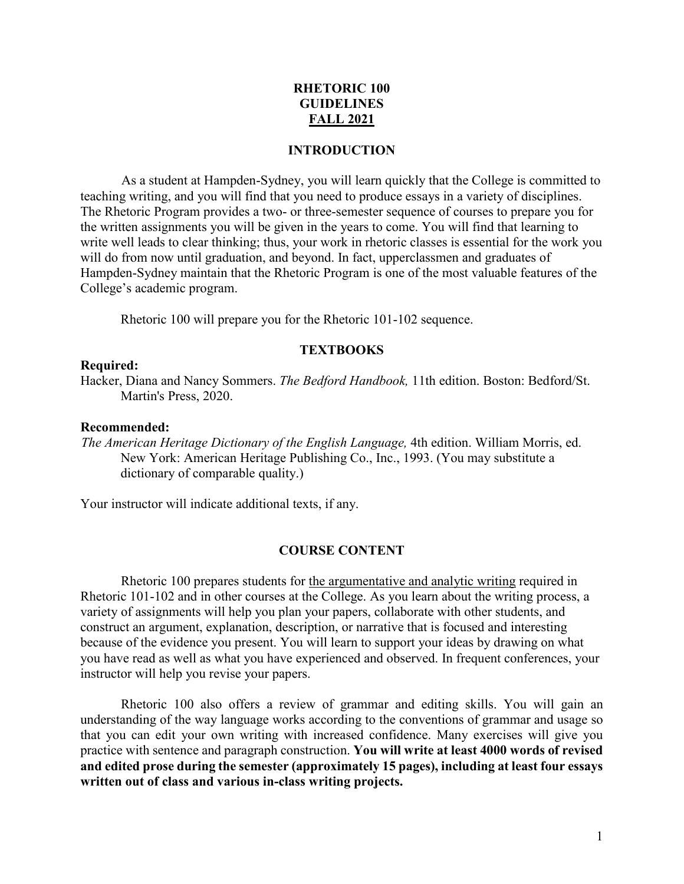# **RHETORIC 100 GUIDELINES FALL 2021**

### **INTRODUCTION**

As a student at Hampden-Sydney, you will learn quickly that the College is committed to teaching writing, and you will find that you need to produce essays in a variety of disciplines. The Rhetoric Program provides a two- or three-semester sequence of courses to prepare you for the written assignments you will be given in the years to come. You will find that learning to write well leads to clear thinking; thus, your work in rhetoric classes is essential for the work you will do from now until graduation, and beyond. In fact, upperclassmen and graduates of Hampden-Sydney maintain that the Rhetoric Program is one of the most valuable features of the College's academic program.

Rhetoric 100 will prepare you for the Rhetoric 101-102 sequence.

# **TEXTBOOKS**

#### **Required:**

Hacker, Diana and Nancy Sommers. *The Bedford Handbook,* 11th edition. Boston: Bedford/St. Martin's Press, 2020.

#### **Recommended:**

*The American Heritage Dictionary of the English Language,* 4th edition. William Morris, ed. New York: American Heritage Publishing Co., Inc., 1993. (You may substitute a dictionary of comparable quality.)

Your instructor will indicate additional texts, if any.

#### **COURSE CONTENT**

Rhetoric 100 prepares students for the argumentative and analytic writing required in Rhetoric 101-102 and in other courses at the College. As you learn about the writing process, a variety of assignments will help you plan your papers, collaborate with other students, and construct an argument, explanation, description, or narrative that is focused and interesting because of the evidence you present. You will learn to support your ideas by drawing on what you have read as well as what you have experienced and observed. In frequent conferences, your instructor will help you revise your papers.

Rhetoric 100 also offers a review of grammar and editing skills. You will gain an understanding of the way language works according to the conventions of grammar and usage so that you can edit your own writing with increased confidence. Many exercises will give you practice with sentence and paragraph construction. **You will write at least 4000 words of revised and edited prose during the semester (approximately 15 pages), including at least four essays written out of class and various in-class writing projects.**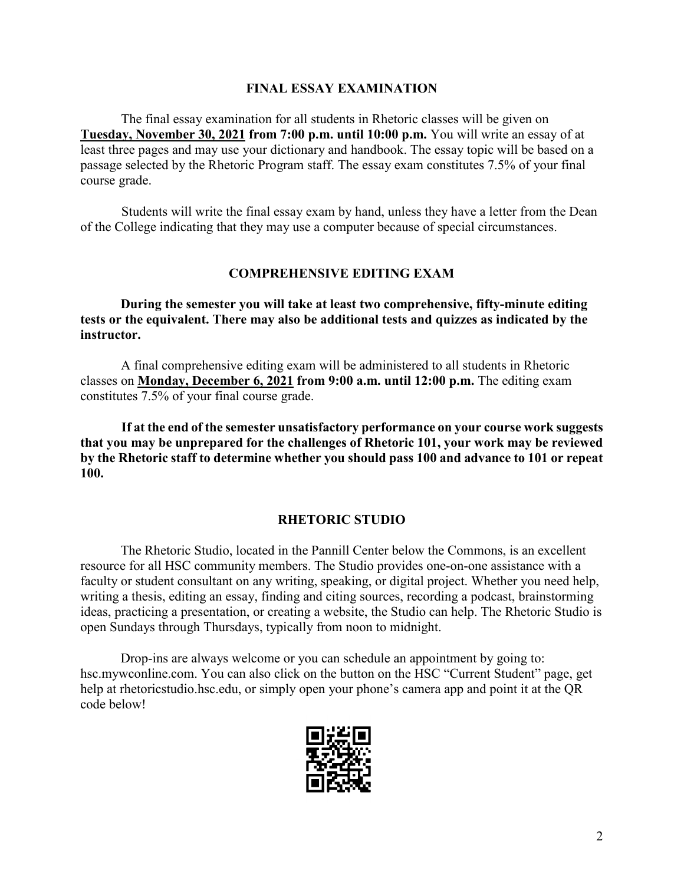# **FINAL ESSAY EXAMINATION**

The final essay examination for all students in Rhetoric classes will be given on **Tuesday, November 30, 2021 from 7:00 p.m. until 10:00 p.m.** You will write an essay of at least three pages and may use your dictionary and handbook. The essay topic will be based on a passage selected by the Rhetoric Program staff. The essay exam constitutes 7.5% of your final course grade.

Students will write the final essay exam by hand, unless they have a letter from the Dean of the College indicating that they may use a computer because of special circumstances.

# **COMPREHENSIVE EDITING EXAM**

**During the semester you will take at least two comprehensive, fifty-minute editing tests or the equivalent. There may also be additional tests and quizzes as indicated by the instructor.**

A final comprehensive editing exam will be administered to all students in Rhetoric classes on **Monday, December 6, 2021 from 9:00 a.m. until 12:00 p.m.** The editing exam constitutes 7.5% of your final course grade.

**If at the end of the semester unsatisfactory performance on your course work suggests that you may be unprepared for the challenges of Rhetoric 101, your work may be reviewed by the Rhetoric staff to determine whether you should pass 100 and advance to 101 or repeat 100.**

# **RHETORIC STUDIO**

The Rhetoric Studio, located in the Pannill Center below the Commons, is an excellent resource for all HSC community members. The Studio provides one-on-one assistance with a faculty or student consultant on any writing, speaking, or digital project. Whether you need help, writing a thesis, editing an essay, finding and citing sources, recording a podcast, brainstorming ideas, practicing a presentation, or creating a website, the Studio can help. The Rhetoric Studio is open Sundays through Thursdays, typically from noon to midnight.

Drop-ins are always welcome or you can schedule an appointment by going to: hsc.mywconline.com. You can also click on the button on the HSC "Current Student" page, get help at rhetoricstudio.hsc.edu, or simply open your phone's camera app and point it at the QR code below!

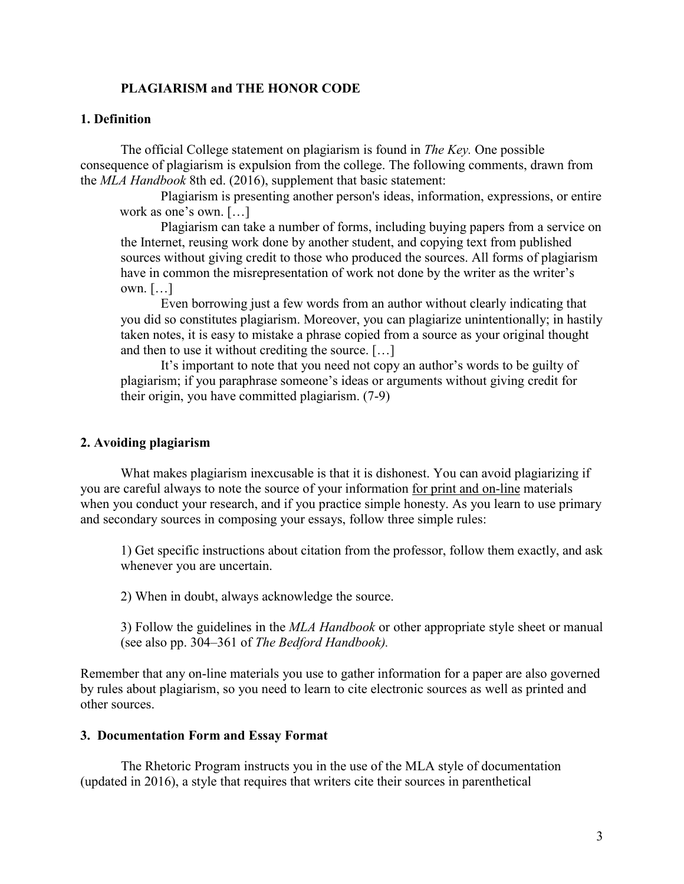# **PLAGIARISM and THE HONOR CODE**

# **1. Definition**

The official College statement on plagiarism is found in *The Key.* One possible consequence of plagiarism is expulsion from the college. The following comments, drawn from the *MLA Handbook* 8th ed. (2016), supplement that basic statement:

Plagiarism is presenting another person's ideas, information, expressions, or entire work as one's own. […]

Plagiarism can take a number of forms, including buying papers from a service on the Internet, reusing work done by another student, and copying text from published sources without giving credit to those who produced the sources. All forms of plagiarism have in common the misrepresentation of work not done by the writer as the writer's own. […]

Even borrowing just a few words from an author without clearly indicating that you did so constitutes plagiarism. Moreover, you can plagiarize unintentionally; in hastily taken notes, it is easy to mistake a phrase copied from a source as your original thought and then to use it without crediting the source. […]

It's important to note that you need not copy an author's words to be guilty of plagiarism; if you paraphrase someone's ideas or arguments without giving credit for their origin, you have committed plagiarism. (7-9)

### **2. Avoiding plagiarism**

What makes plagiarism inexcusable is that it is dishonest. You can avoid plagiarizing if you are careful always to note the source of your information for print and on-line materials when you conduct your research, and if you practice simple honesty. As you learn to use primary and secondary sources in composing your essays, follow three simple rules:

1) Get specific instructions about citation from the professor, follow them exactly, and ask whenever you are uncertain.

2) When in doubt, always acknowledge the source.

3) Follow the guidelines in the *MLA Handbook* or other appropriate style sheet or manual (see also pp. 304–361 of *The Bedford Handbook).*

Remember that any on-line materials you use to gather information for a paper are also governed by rules about plagiarism, so you need to learn to cite electronic sources as well as printed and other sources.

### **3. Documentation Form and Essay Format**

The Rhetoric Program instructs you in the use of the MLA style of documentation (updated in 2016), a style that requires that writers cite their sources in parenthetical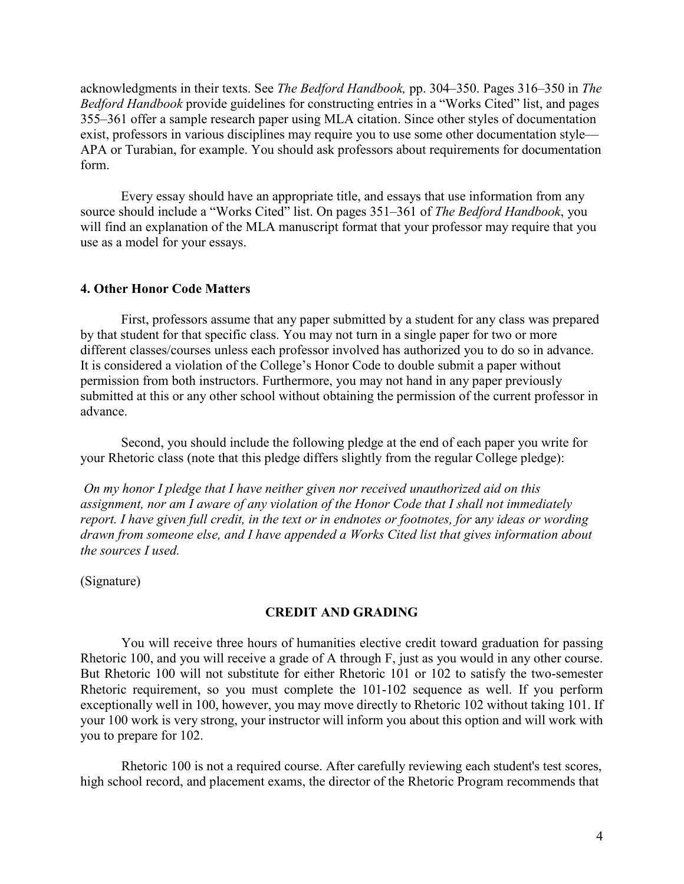acknowledgments in their texts. See *The Bedford Handbook,* pp. 304–350. Pages 316–350 in *The Bedford Handbook* provide guidelines for constructing entries in a "Works Cited" list, and pages 355–361 offer a sample research paper using MLA citation. Since other styles of documentation exist, professors in various disciplines may require you to use some other documentation style— APA or Turabian, for example. You should ask professors about requirements for documentation form.

Every essay should have an appropriate title, and essays that use information from any source should include a "Works Cited" list. On pages 351–361 of *The Bedford Handbook*, you will find an explanation of the MLA manuscript format that your professor may require that you use as a model for your essays.

#### **4. Other Honor Code Matters**

First, professors assume that any paper submitted by a student for any class was prepared by that student for that specific class. You may not turn in a single paper for two or more different classes/courses unless each professor involved has authorized you to do so in advance. It is considered a violation of the College's Honor Code to double submit a paper without permission from both instructors. Furthermore, you may not hand in any paper previously submitted at this or any other school without obtaining the permission of the current professor in advance.

Second, you should include the following pledge at the end of each paper you write for your Rhetoric class (note that this pledge differs slightly from the regular College pledge):

*On my honor I pledge that I have neither given nor received unauthorized aid on this assignment, nor am I aware of any violation of the Honor Code that I shall not immediately report. I have given full credit, in the text or in endnotes or footnotes, for* a*ny ideas or wording drawn from someone else, and I have appended a Works Cited list that gives information about the sources I used.*

(Signature)

#### **CREDIT AND GRADING**

You will receive three hours of humanities elective credit toward graduation for passing Rhetoric 100, and you will receive a grade of A through F, just as you would in any other course. But Rhetoric 100 will not substitute for either Rhetoric 101 or 102 to satisfy the two-semester Rhetoric requirement, so you must complete the 101-102 sequence as well. If you perform exceptionally well in 100, however, you may move directly to Rhetoric 102 without taking 101. If your 100 work is very strong, your instructor will inform you about this option and will work with you to prepare for 102.

Rhetoric 100 is not a required course. After carefully reviewing each student's test scores, high school record, and placement exams, the director of the Rhetoric Program recommends that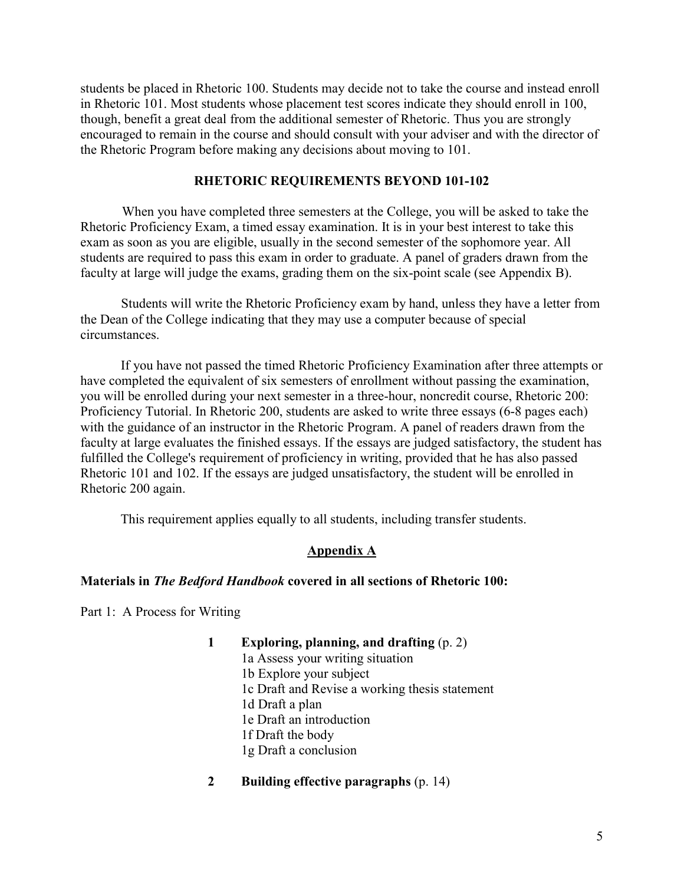students be placed in Rhetoric 100. Students may decide not to take the course and instead enroll in Rhetoric 101. Most students whose placement test scores indicate they should enroll in 100, though, benefit a great deal from the additional semester of Rhetoric. Thus you are strongly encouraged to remain in the course and should consult with your adviser and with the director of the Rhetoric Program before making any decisions about moving to 101.

### **RHETORIC REQUIREMENTS BEYOND 101-102**

When you have completed three semesters at the College, you will be asked to take the Rhetoric Proficiency Exam, a timed essay examination. It is in your best interest to take this exam as soon as you are eligible, usually in the second semester of the sophomore year. All students are required to pass this exam in order to graduate. A panel of graders drawn from the faculty at large will judge the exams, grading them on the six-point scale (see Appendix B).

Students will write the Rhetoric Proficiency exam by hand, unless they have a letter from the Dean of the College indicating that they may use a computer because of special circumstances.

If you have not passed the timed Rhetoric Proficiency Examination after three attempts or have completed the equivalent of six semesters of enrollment without passing the examination, you will be enrolled during your next semester in a three-hour, noncredit course, Rhetoric 200: Proficiency Tutorial. In Rhetoric 200, students are asked to write three essays (6-8 pages each) with the guidance of an instructor in the Rhetoric Program. A panel of readers drawn from the faculty at large evaluates the finished essays. If the essays are judged satisfactory, the student has fulfilled the College's requirement of proficiency in writing, provided that he has also passed Rhetoric 101 and 102. If the essays are judged unsatisfactory, the student will be enrolled in Rhetoric 200 again.

This requirement applies equally to all students, including transfer students.

### **Appendix A**

#### **Materials in** *The Bedford Handbook* **covered in all sections of Rhetoric 100:**

Part 1: A Process for Writing

- **1 Exploring, planning, and drafting** (p. 2) 1a Assess your writing situation 1b Explore your subject 1c Draft and Revise a working thesis statement 1d Draft a plan 1e Draft an introduction 1f Draft the body 1g Draft a conclusion
- **2 Building effective paragraphs** (p. 14)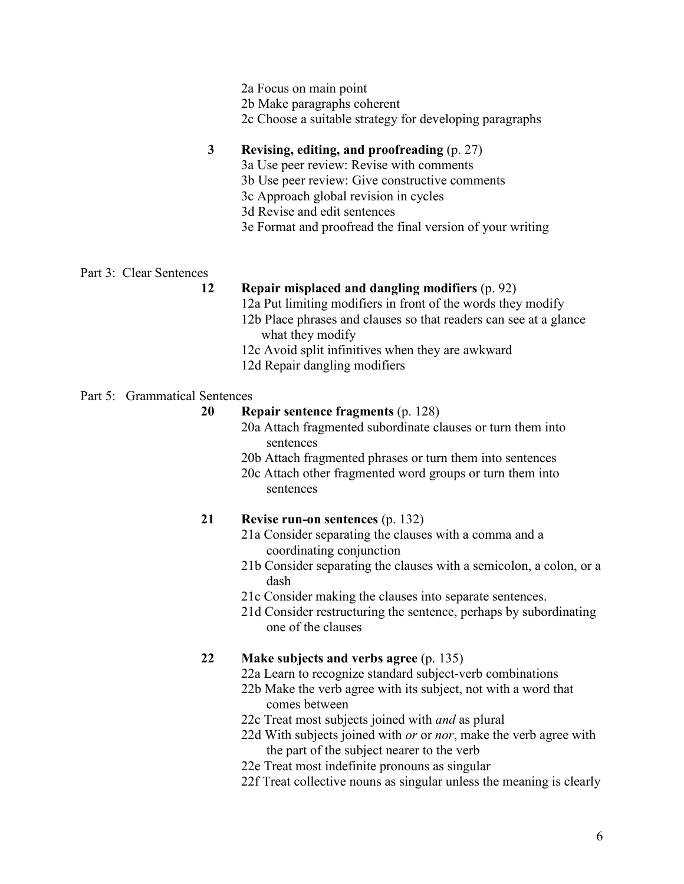- 2a Focus on main point
- 2b Make paragraphs coherent
- 2c Choose a suitable strategy for developing paragraphs

# **3 Revising, editing, and proofreading** (p. 27)

- 3a Use peer review: Revise with comments
- 3b Use peer review: Give constructive comments
- 3c Approach global revision in cycles
- 3d Revise and edit sentences
- 3e Format and proofread the final version of your writing

### Part 3: Clear Sentences

# **12 Repair misplaced and dangling modifiers** (p. 92)

- 12a Put limiting modifiers in front of the words they modify
- 12b Place phrases and clauses so that readers can see at a glance what they modify
- 12c Avoid split infinitives when they are awkward
- 12d Repair dangling modifiers

### Part 5: Grammatical Sentences

### **20 Repair sentence fragments** (p. 128)

- 20a Attach fragmented subordinate clauses or turn them into sentences
- 20b Attach fragmented phrases or turn them into sentences
- 20c Attach other fragmented word groups or turn them into sentences

# **21 Revise run-on sentences** (p. 132)

- 21a Consider separating the clauses with a comma and a coordinating conjunction
- 21b Consider separating the clauses with a semicolon, a colon, or a dash
- 21c Consider making the clauses into separate sentences.
- 21d Consider restructuring the sentence, perhaps by subordinating one of the clauses

### **22 Make subjects and verbs agree** (p. 135)

- 22a Learn to recognize standard subject-verb combinations
- 22b Make the verb agree with its subject, not with a word that comes between
- 22c Treat most subjects joined with *and* as plural
- 22d With subjects joined with *or* or *nor*, make the verb agree with the part of the subject nearer to the verb
- 22e Treat most indefinite pronouns as singular
- 22f Treat collective nouns as singular unless the meaning is clearly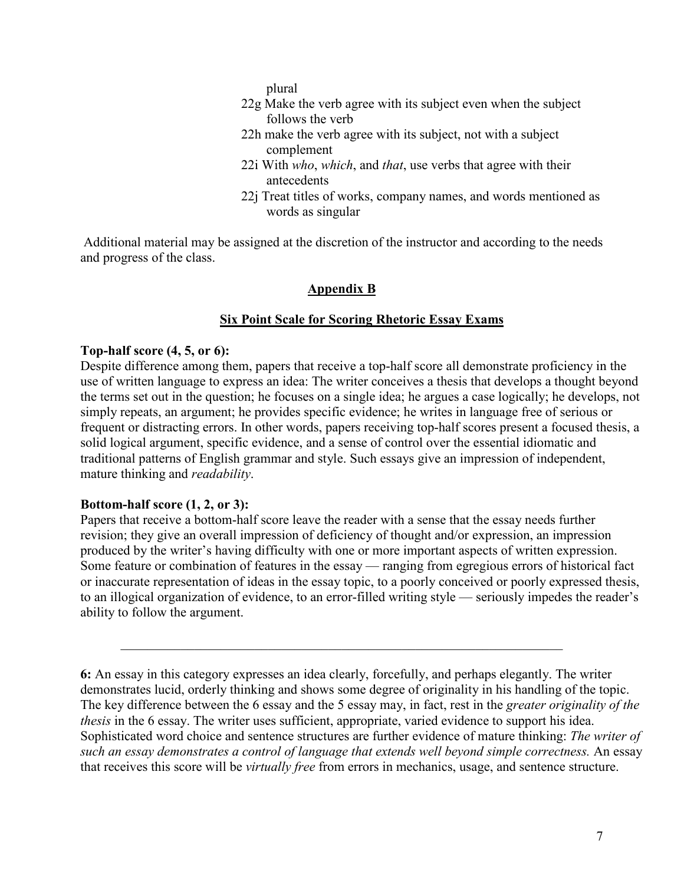plural

- 22g Make the verb agree with its subject even when the subject follows the verb
- 22h make the verb agree with its subject, not with a subject complement
- 22i With *who*, *which*, and *that*, use verbs that agree with their antecedents
- 22j Treat titles of works, company names, and words mentioned as words as singular

Additional material may be assigned at the discretion of the instructor and according to the needs and progress of the class.

### **Appendix B**

### **Six Point Scale for Scoring Rhetoric Essay Exams**

### **Top-half score (4, 5, or 6):**

Despite difference among them, papers that receive a top-half score all demonstrate proficiency in the use of written language to express an idea: The writer conceives a thesis that develops a thought beyond the terms set out in the question; he focuses on a single idea; he argues a case logically; he develops, not simply repeats, an argument; he provides specific evidence; he writes in language free of serious or frequent or distracting errors. In other words, papers receiving top-half scores present a focused thesis, a solid logical argument, specific evidence, and a sense of control over the essential idiomatic and traditional patterns of English grammar and style. Such essays give an impression of independent, mature thinking and *readability*.

### **Bottom-half score (1, 2, or 3):**

Papers that receive a bottom-half score leave the reader with a sense that the essay needs further revision; they give an overall impression of deficiency of thought and/or expression, an impression produced by the writer's having difficulty with one or more important aspects of written expression. Some feature or combination of features in the essay — ranging from egregious errors of historical fact or inaccurate representation of ideas in the essay topic, to a poorly conceived or poorly expressed thesis, to an illogical organization of evidence, to an error-filled writing style — seriously impedes the reader's ability to follow the argument.

**<sup>6:</sup>** An essay in this category expresses an idea clearly, forcefully, and perhaps elegantly. The writer demonstrates lucid, orderly thinking and shows some degree of originality in his handling of the topic. The key difference between the 6 essay and the 5 essay may, in fact, rest in the *greater originality of the thesis* in the 6 essay. The writer uses sufficient, appropriate, varied evidence to support his idea. Sophisticated word choice and sentence structures are further evidence of mature thinking: *The writer of such an essay demonstrates a control of language that extends well beyond simple correctness.* An essay that receives this score will be *virtually free* from errors in mechanics, usage, and sentence structure.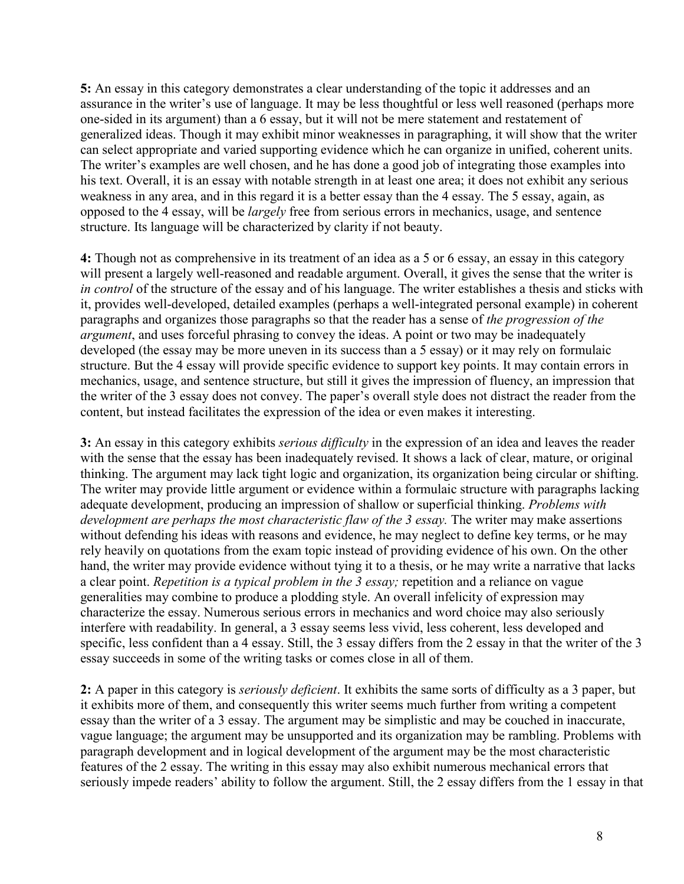**5:** An essay in this category demonstrates a clear understanding of the topic it addresses and an assurance in the writer's use of language. It may be less thoughtful or less well reasoned (perhaps more one-sided in its argument) than a 6 essay, but it will not be mere statement and restatement of generalized ideas. Though it may exhibit minor weaknesses in paragraphing, it will show that the writer can select appropriate and varied supporting evidence which he can organize in unified, coherent units. The writer's examples are well chosen, and he has done a good job of integrating those examples into his text. Overall, it is an essay with notable strength in at least one area; it does not exhibit any serious weakness in any area, and in this regard it is a better essay than the 4 essay. The 5 essay, again, as opposed to the 4 essay, will be *largely* free from serious errors in mechanics, usage, and sentence structure. Its language will be characterized by clarity if not beauty.

**4:** Though not as comprehensive in its treatment of an idea as a 5 or 6 essay, an essay in this category will present a largely well-reasoned and readable argument. Overall, it gives the sense that the writer is *in control* of the structure of the essay and of his language. The writer establishes a thesis and sticks with it, provides well-developed, detailed examples (perhaps a well-integrated personal example) in coherent paragraphs and organizes those paragraphs so that the reader has a sense of *the progression of the argument*, and uses forceful phrasing to convey the ideas. A point or two may be inadequately developed (the essay may be more uneven in its success than a 5 essay) or it may rely on formulaic structure. But the 4 essay will provide specific evidence to support key points. It may contain errors in mechanics, usage, and sentence structure, but still it gives the impression of fluency, an impression that the writer of the 3 essay does not convey. The paper's overall style does not distract the reader from the content, but instead facilitates the expression of the idea or even makes it interesting.

**3:** An essay in this category exhibits *serious difficulty* in the expression of an idea and leaves the reader with the sense that the essay has been inadequately revised. It shows a lack of clear, mature, or original thinking. The argument may lack tight logic and organization, its organization being circular or shifting. The writer may provide little argument or evidence within a formulaic structure with paragraphs lacking adequate development, producing an impression of shallow or superficial thinking. *Problems with development are perhaps the most characteristic flaw of the 3 essay.* The writer may make assertions without defending his ideas with reasons and evidence, he may neglect to define key terms, or he may rely heavily on quotations from the exam topic instead of providing evidence of his own. On the other hand, the writer may provide evidence without tying it to a thesis, or he may write a narrative that lacks a clear point. *Repetition is a typical problem in the 3 essay;* repetition and a reliance on vague generalities may combine to produce a plodding style. An overall infelicity of expression may characterize the essay. Numerous serious errors in mechanics and word choice may also seriously interfere with readability. In general, a 3 essay seems less vivid, less coherent, less developed and specific, less confident than a 4 essay. Still, the 3 essay differs from the 2 essay in that the writer of the 3 essay succeeds in some of the writing tasks or comes close in all of them.

**2:** A paper in this category is *seriously deficient*. It exhibits the same sorts of difficulty as a 3 paper, but it exhibits more of them, and consequently this writer seems much further from writing a competent essay than the writer of a 3 essay. The argument may be simplistic and may be couched in inaccurate, vague language; the argument may be unsupported and its organization may be rambling. Problems with paragraph development and in logical development of the argument may be the most characteristic features of the 2 essay. The writing in this essay may also exhibit numerous mechanical errors that seriously impede readers' ability to follow the argument. Still, the 2 essay differs from the 1 essay in that